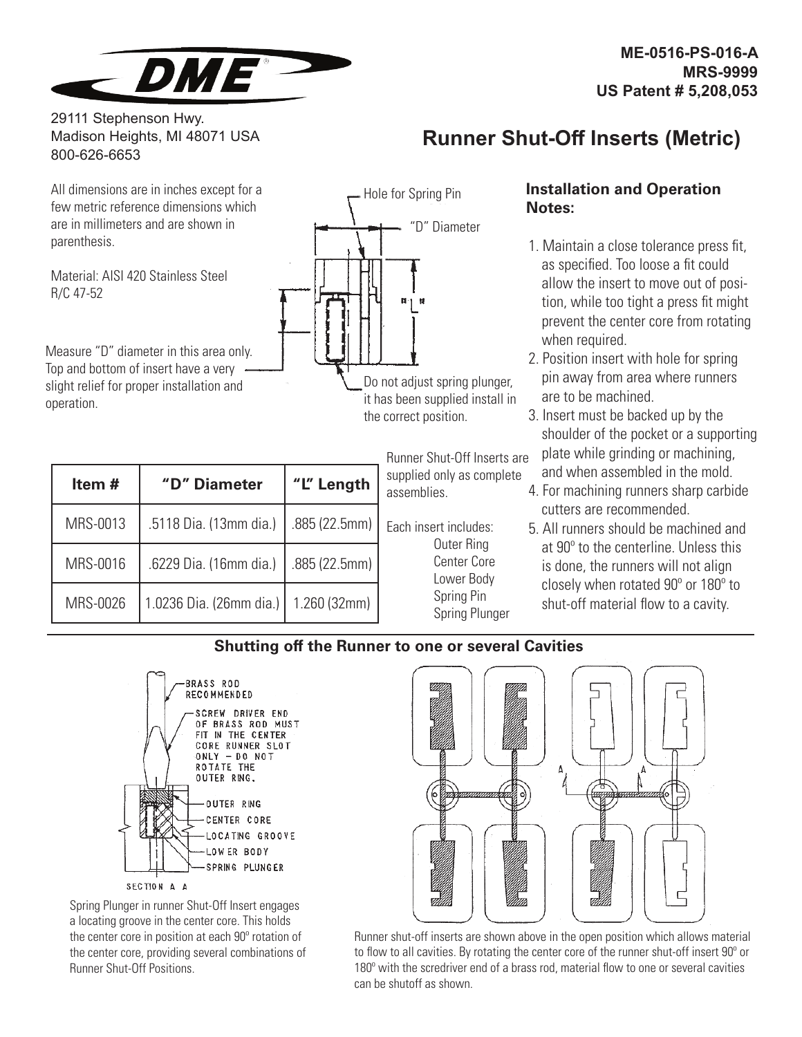

29111 Stephenson Hwy. Madison Heights, MI 48071 USA 800-626-6653

#### All dimensions are in inches except for a few metric reference dimensions which are in millimeters and are shown in parenthesis.

Material: AISI 420 Stainless Steel R/C 47-52

Measure "D" diameter in this area only. Top and bottom of insert have a very slight relief for proper installation and operation.

| Item $#$ | "D" Diameter            | "L" Length    |  |  |  |
|----------|-------------------------|---------------|--|--|--|
| MRS-0013 | .5118 Dia. (13mm dia.)  | .885 (22.5mm) |  |  |  |
| MRS-0016 | .6229 Dia. (16mm dia.)  | .885 (22.5mm) |  |  |  |
| MRS-0026 | 1.0236 Dia. (26mm dia.) | 1.260(32mm)   |  |  |  |



it has been supplied install in the correct position.

> Runner Shut-Off Inserts are supplied only as complete assemblies.

Each insert includes: Outer Ring Center Core Lower Body Spring Pin Spring Plunger

# **Runner Shut-Off Inserts (Metric)**

### **Installation and Operation Notes:**

- 1. Maintain a close tolerance press fit, as specified. Too loose a fit could allow the insert to move out of position, while too tight a press fit might prevent the center core from rotating when required.
- 2. Position insert with hole for spring pin away from area where runners are to be machined.
- 3. Insert must be backed up by the shoulder of the pocket or a supporting plate while grinding or machining, and when assembled in the mold.
- 4. For machining runners sharp carbide cutters are recommended.
- 5. All runners should be machined and at 90<sup>°</sup> to the centerline. Unless this is done, the runners will not align closely when rotated  $90^\circ$  or  $180^\circ$  to shut-off material flow to a cavity.

## **Shutting off the Runner to one or several Cavities**



Spring Plunger in runner Shut-Off Insert engages a locating groove in the center core. This holds the center core in position at each  $90^\circ$  rotation of the center core, providing several combinations of Runner Shut-Off Positions.



Runner shut-off inserts are shown above in the open position which allows material to flow to all cavities. By rotating the center core of the runner shut-off insert  $90^\circ$  or  $180^\circ$  with the scredriver end of a brass rod, material flow to one or several cavities can be shutoff as shown.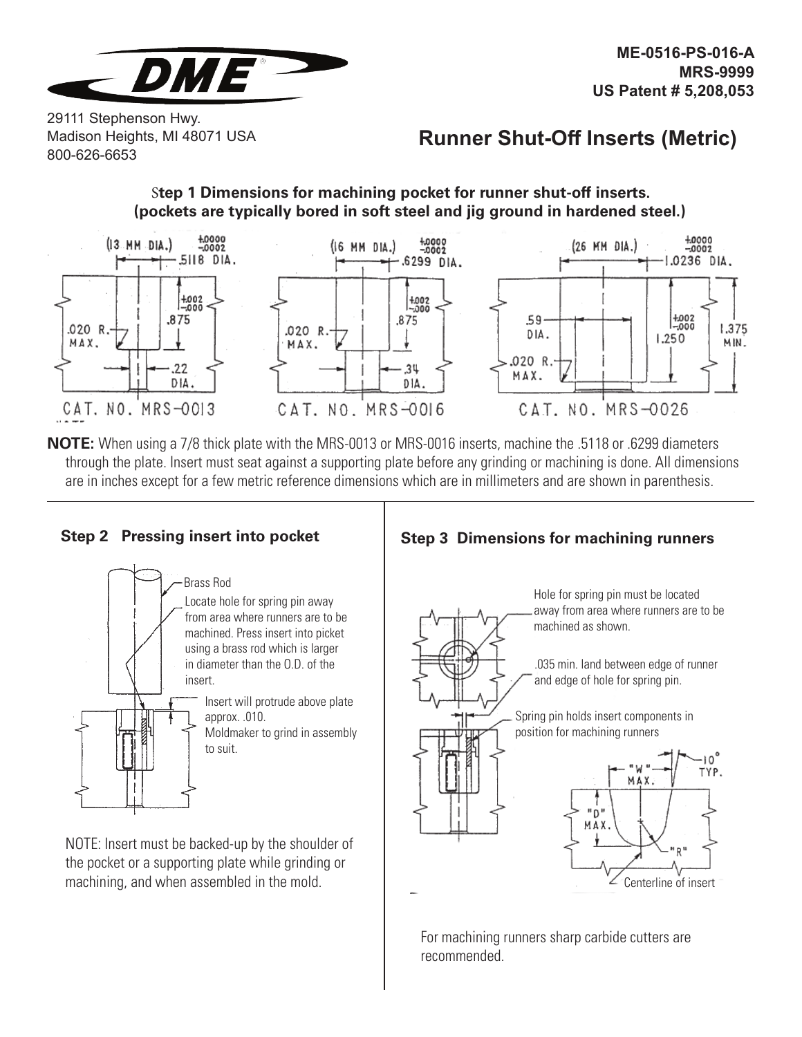

29111 Stephenson Hwy. Madison Heights, MI 48071 USA 800-626-6653

# **Runner Shut-Off Inserts (Metric)**

#### S**tep 1 Dimensions for machining pocket for runner shut-off inserts. (pockets are typically bored in soft steel and jig ground in hardened steel.)**



**NOTE:** When using a 7/8 thick plate with the MRS-0013 or MRS-0016 inserts, machine the .5118 or .6299 diameters through the plate. Insert must seat against a supporting plate before any grinding or machining is done. All dimensions are in inches except for a few metric reference dimensions which are in millimeters and are shown in parenthesis.



NOTE: Insert must be backed-up by the shoulder of the pocket or a supporting plate while grinding or machining, and when assembled in the mold.

## **Step 2 Pressing insert into pocket Step 3 Dimensions for machining runners**



Hole for spring pin must be located away from area where runners are to be machined as shown.

.035 min. land between edge of runner and edge of hole for spring pin.

Spring pin holds insert components in position for machining runners



For machining runners sharp carbide cutters are recommended.